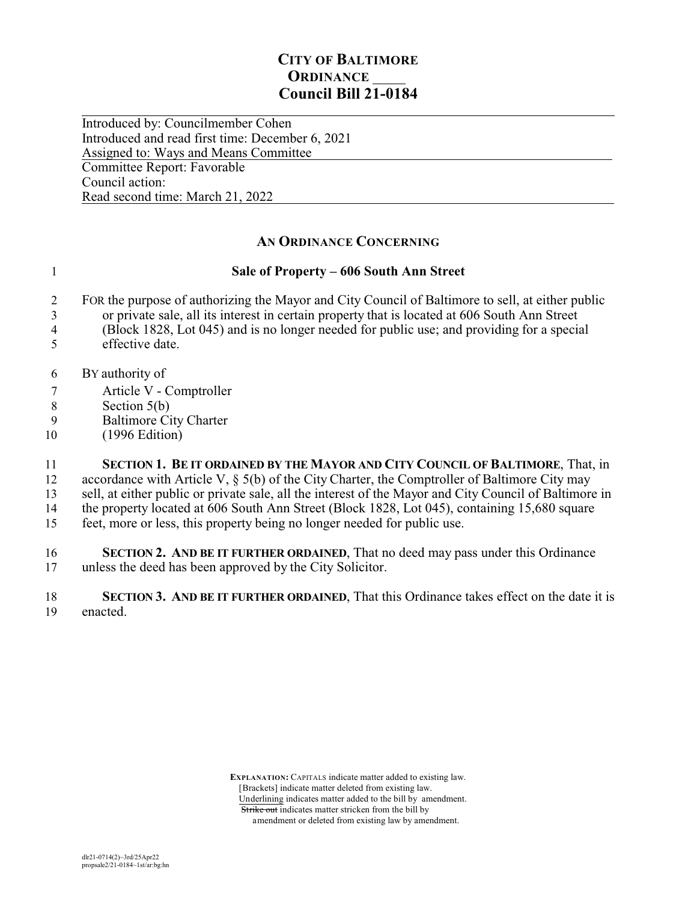## **CITY OF BALTIMORE ORDINANCE Council Bill 21-0184**

 $\overline{a}$ Introduced by: Councilmember Cohen Introduced and read first time: December 6, 2021 Assigned to: Ways and Means Committee Committee Report: Favorable Council action: Read second time: March 21, 2022

## **AN ORDINANCE CONCERNING**

## 1 **Sale of Property – 606 South Ann Street**

- 2 FOR the purpose of authorizing the Mayor and City Council of Baltimore to sell, at either public
- 3 or private sale, all its interest in certain property that is located at 606 South Ann Street
- 4 (Block 1828, Lot 045) and is no longer needed for public use; and providing for a special 5 effective date.
- 
- 6 BY authority of
- 7 Article V Comptroller
- 8 Section 5(b)<br>9 Baltimore Ci
- Baltimore City Charter
- 10 (1996 Edition)

 **SECTION 1. BE IT ORDAINED BY THE MAYOR AND CITY COUNCIL OF BALTIMORE**, That, in accordance with Article V, § 5(b) of the City Charter, the Comptroller of Baltimore City may sell, at either public or private sale, all the interest of the Mayor and City Council of Baltimore in 14 the property located at 606 South Ann Street (Block 1828, Lot 045), containing 15,680 square feet, more or less, this property being no longer needed for public use.

16 **SECTION 2. AND BE IT FURTHER ORDAINED**, That no deed may pass under this Ordinance 17 unless the deed has been approved by the City Solicitor.

18 **SECTION 3. AND BE IT FURTHER ORDAINED**, That this Ordinance takes effect on the date it is 19 enacted.

> **EXPLANATION:** CAPITALS indicate matter added to existing law. [Brackets] indicate matter deleted from existing law. Underlining indicates matter added to the bill by amendment. Strike out indicates matter stricken from the bill by amendment or deleted from existing law by amendment.